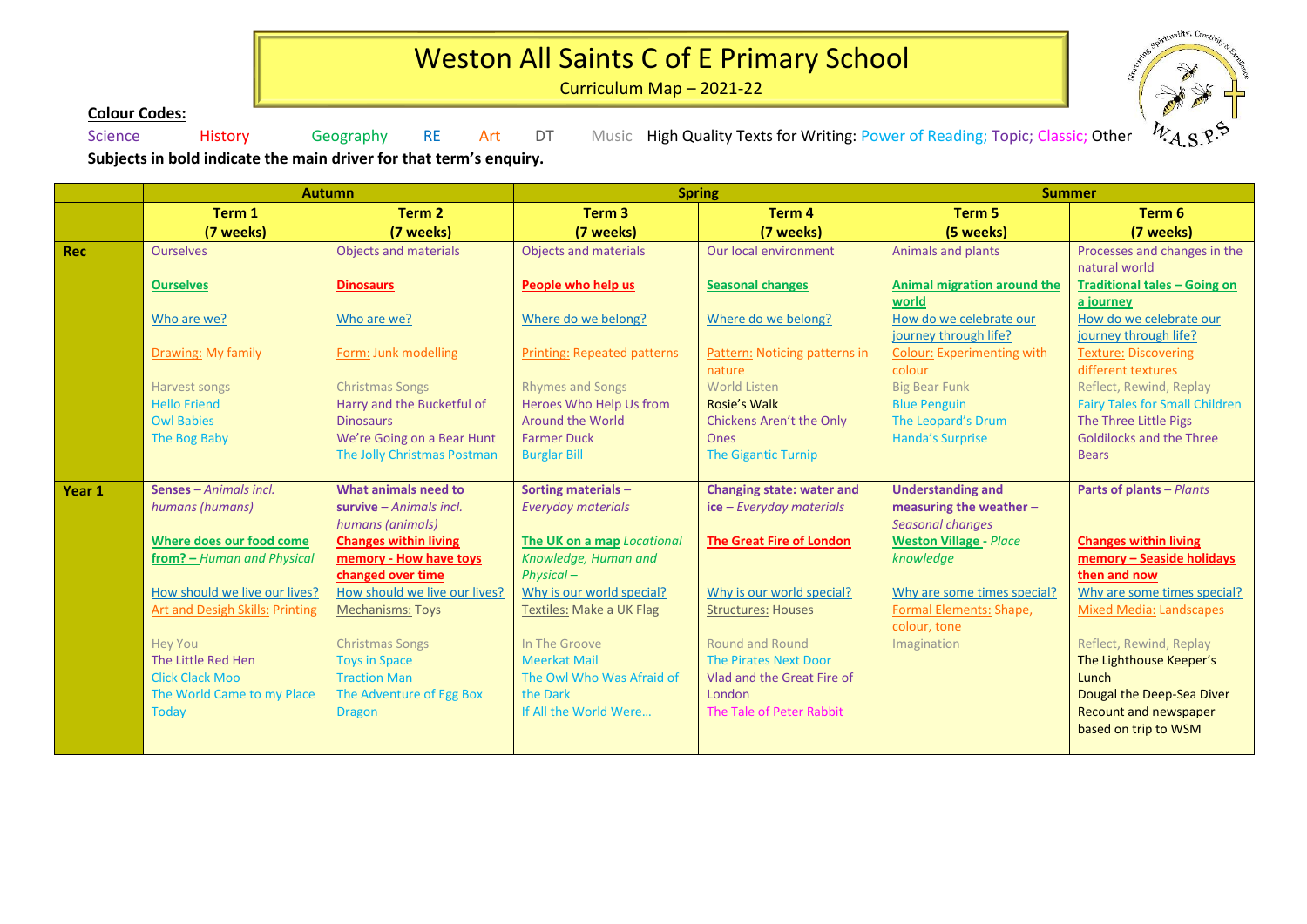## Weston All Saints C of E Primary School

Curriculum Map – 2021-22

## **Colour Codes:**

ality, Cra

Science History Geography RE Art DT Music High Quality Texts for Writing: Power of Reading; Topic; Classic; Other

**Subjects in bold indicate the main driver for that term's enquiry.**

|            | <b>Autumn</b>                          |                               | <b>Spring</b>                      |                                  | <b>Summer</b>                           |                                                   |
|------------|----------------------------------------|-------------------------------|------------------------------------|----------------------------------|-----------------------------------------|---------------------------------------------------|
|            | Term 1                                 | Term 2                        | Term <sub>3</sub>                  | Term 4                           | Term 5                                  | Term 6                                            |
|            | (7 weeks)                              | (7 weeks)                     | (7 weeks)                          | (7 weeks)                        | (5 weeks)                               | (7 weeks)                                         |
| <b>Rec</b> | <b>Ourselves</b>                       | <b>Objects and materials</b>  | <b>Objects and materials</b>       | Our local environment            | Animals and plants                      | Processes and changes in the                      |
|            |                                        |                               |                                    |                                  |                                         | natural world                                     |
|            | <b>Ourselves</b>                       | <b>Dinosaurs</b>              | People who help us                 | <b>Seasonal changes</b>          | Animal migration around the             | <b>Traditional tales - Going on</b>               |
|            |                                        |                               |                                    |                                  | world                                   | a journey                                         |
|            | Who are we?                            | Who are we?                   | Where do we belong?                | Where do we belong?              | How do we celebrate our                 | How do we celebrate our                           |
|            |                                        |                               |                                    |                                  | journey through life?                   | journey through life?                             |
|            | Drawing: My family                     | Form: Junk modelling          | <b>Printing: Repeated patterns</b> | Pattern: Noticing patterns in    | <b>Colour: Experimenting with</b>       | <b>Texture: Discovering</b><br>different textures |
|            | Harvest songs                          | <b>Christmas Songs</b>        | <b>Rhymes and Songs</b>            | nature<br><b>World Listen</b>    | colour<br><b>Big Bear Funk</b>          | Reflect, Rewind, Replay                           |
|            | <b>Hello Friend</b>                    | Harry and the Bucketful of    | Heroes Who Help Us from            | Rosie's Walk                     | <b>Blue Penguin</b>                     | <b>Fairy Tales for Small Children</b>             |
|            | <b>Owl Babies</b>                      | <b>Dinosaurs</b>              | <b>Around the World</b>            | Chickens Aren't the Only         | The Leopard's Drum                      | The Three Little Pigs                             |
|            | The Bog Baby                           | We're Going on a Bear Hunt    | <b>Farmer Duck</b>                 | Ones                             | <b>Handa's Surprise</b>                 | Goldilocks and the Three                          |
|            |                                        | The Jolly Christmas Postman   | <b>Burglar Bill</b>                | <b>The Gigantic Turnip</b>       |                                         | <b>Bears</b>                                      |
|            |                                        |                               |                                    |                                  |                                         |                                                   |
| Year 1     | Senses - Animals incl.                 | What animals need to          | Sorting materials -                | <b>Changing state: water and</b> | <b>Understanding and</b>                | <b>Parts of plants - Plants</b>                   |
|            | humans (humans)                        | survive $-Animals$ incl.      | <b>Everyday materials</b>          | $ice$ – Everyday materials       | measuring the weather $-$               |                                                   |
|            |                                        | humans (animals)              |                                    |                                  | Seasonal changes                        |                                                   |
|            | Where does our food come               | <b>Changes within living</b>  | The UK on a map Locational         | <b>The Great Fire of London</b>  | <b>Weston Village - Place</b>           | <b>Changes within living</b>                      |
|            | from? - Human and Physical             | memory - How have toys        | Knowledge, Human and               |                                  | knowledge                               | memory - Seaside holidays                         |
|            |                                        | changed over time             | Physical-                          |                                  |                                         | then and now                                      |
|            | How should we live our lives?          | How should we live our lives? | Why is our world special?          | Why is our world special?        | Why are some times special?             | Why are some times special?                       |
|            | <b>Art and Desigh Skills: Printing</b> | <b>Mechanisms: Toys</b>       | <b>Textiles: Make a UK Flag</b>    | <b>Structures: Houses</b>        | Formal Elements: Shape,<br>colour, tone | <b>Mixed Media: Landscapes</b>                    |
|            | <b>Hey You</b>                         | <b>Christmas Songs</b>        | In The Groove                      | Round and Round                  | Imagination                             | Reflect, Rewind, Replay                           |
|            | The Little Red Hen                     | <b>Toys in Space</b>          | <b>Meerkat Mail</b>                | The Pirates Next Door            |                                         | The Lighthouse Keeper's                           |
|            | <b>Click Clack Moo</b>                 | <b>Traction Man</b>           | The Owl Who Was Afraid of          | Vlad and the Great Fire of       |                                         | Lunch                                             |
|            | The World Came to my Place             | The Adventure of Egg Box      | the Dark                           | London                           |                                         | Dougal the Deep-Sea Diver                         |
|            | <b>Today</b>                           | <b>Dragon</b>                 | If All the World Were              | The Tale of Peter Rabbit         |                                         | <b>Recount and newspaper</b>                      |
|            |                                        |                               |                                    |                                  |                                         | based on trip to WSM                              |
|            |                                        |                               |                                    |                                  |                                         |                                                   |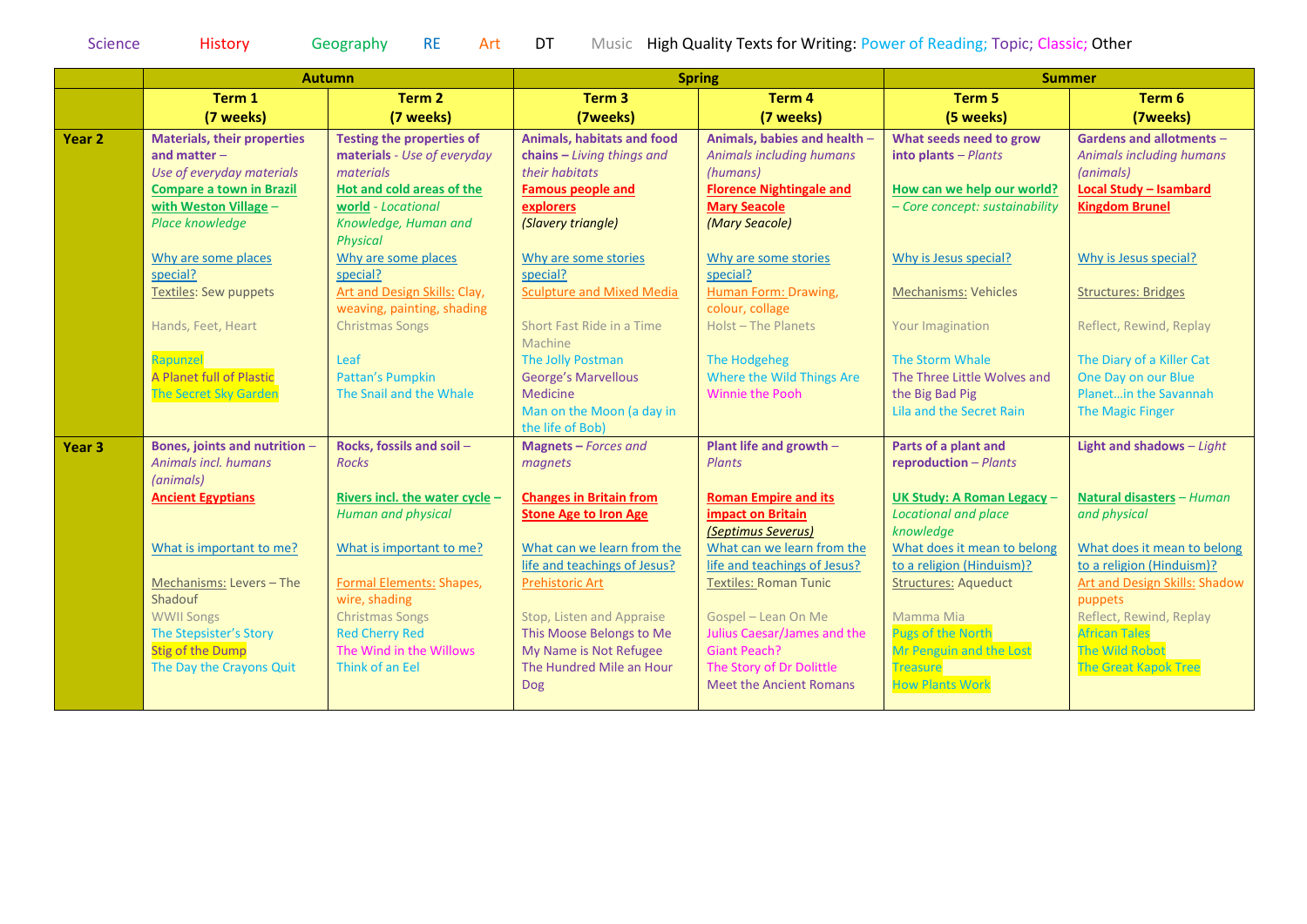Science History Geography RE Art DT Music High Quality Texts for Writing: Power of Reading; Topic; Classic; Other

|                   | <b>Autumn</b>                            |                                          | <b>Spring</b>                                              |                                                              | <b>Summer</b>                                            |                                                            |
|-------------------|------------------------------------------|------------------------------------------|------------------------------------------------------------|--------------------------------------------------------------|----------------------------------------------------------|------------------------------------------------------------|
|                   | Term 1                                   | Term 2                                   | Term <sub>3</sub>                                          | Term 4                                                       | Term <sub>5</sub>                                        | Term 6                                                     |
|                   | (7 weeks)                                | (7 weeks)                                | (7weeks)                                                   | (7 weeks)                                                    | (5 weeks)                                                | (7weeks)                                                   |
| Year <sub>2</sub> | <b>Materials, their properties</b>       | Testing the properties of                | Animals, habitats and food                                 | Animals, babies and health -                                 | What seeds need to grow                                  | <b>Gardens and allotments -</b>                            |
|                   | and matter $-$                           | materials - Use of everyday              | $chains$ – Living things and                               | <b>Animals including humans</b>                              | into plants - Plants                                     | Animals including humans                                   |
|                   | Use of everyday materials                | materials                                | their habitats                                             | (humans)                                                     |                                                          | (animals)                                                  |
|                   | <b>Compare a town in Brazil</b>          | Hot and cold areas of the                | <b>Famous people and</b>                                   | <b>Florence Nightingale and</b>                              | How can we help our world?                               | <b>Local Study - Isambard</b>                              |
|                   | with Weston Village -                    | world - Locational                       | explorers                                                  | <b>Mary Seacole</b>                                          | - Core concept: sustainability                           | <b>Kingdom Brunel</b>                                      |
|                   | Place knowledge                          | Knowledge, Human and                     | (Slavery triangle)                                         | (Mary Seacole)                                               |                                                          |                                                            |
|                   |                                          | <b>Physical</b>                          |                                                            |                                                              |                                                          |                                                            |
|                   | Why are some places                      | Why are some places                      | Why are some stories                                       | Why are some stories                                         | Why is Jesus special?                                    | Why is Jesus special?                                      |
|                   | special?<br><b>Textiles: Sew puppets</b> | special?<br>Art and Design Skills: Clay, | special?<br><b>Sculpture and Mixed Media</b>               | special?<br>Human Form: Drawing,                             | <b>Mechanisms: Vehicles</b>                              | <b>Structures: Bridges</b>                                 |
|                   |                                          | weaving, painting, shading               |                                                            | colour, collage                                              |                                                          |                                                            |
|                   | Hands, Feet, Heart                       | <b>Christmas Songs</b>                   | Short Fast Ride in a Time                                  | Holst - The Planets                                          | Your Imagination                                         | Reflect, Rewind, Replay                                    |
|                   |                                          |                                          | Machine                                                    |                                                              |                                                          |                                                            |
|                   | Rapunzel                                 | Leaf                                     | The Jolly Postman                                          | The Hodgeheg                                                 | The Storm Whale                                          | The Diary of a Killer Cat                                  |
|                   | A Planet full of Plastic                 | Pattan's Pumpkin                         | <b>George's Marvellous</b>                                 | Where the Wild Things Are                                    | The Three Little Wolves and                              | One Day on our Blue                                        |
|                   | The Secret Sky Garden                    | The Snail and the Whale                  | Medicine                                                   | Winnie the Pooh                                              | the Big Bad Pig                                          | Planetin the Savannah                                      |
|                   |                                          |                                          | Man on the Moon (a day in                                  |                                                              | Lila and the Secret Rain                                 | <b>The Magic Finger</b>                                    |
|                   |                                          |                                          | the life of Bob)                                           |                                                              |                                                          |                                                            |
| Year <sub>3</sub> | Bones, joints and nutrition -            | Rocks, fossils and soil -                | Magnets - Forces and                                       | Plant life and growth -                                      | Parts of a plant and                                     | Light and shadows $-Light$                                 |
|                   | Animals incl. humans                     | Rocks                                    | magnets                                                    | <b>Plants</b>                                                | $reproduction - Plants$                                  |                                                            |
|                   | (animals)                                |                                          |                                                            |                                                              |                                                          |                                                            |
|                   | <b>Ancient Egyptians</b>                 | Rivers incl. the water cycle -           | <b>Changes in Britain from</b>                             | <b>Roman Empire and its</b>                                  | UK Study: A Roman Legacy -                               | Natural disasters - Human                                  |
|                   |                                          | Human and physical                       | <b>Stone Age to Iron Age</b>                               | <b>impact on Britain</b>                                     | <b>Locational and place</b>                              | and physical                                               |
|                   |                                          |                                          |                                                            | (Septimus Severus)                                           | knowledge                                                |                                                            |
|                   | What is important to me?                 | What is important to me?                 | What can we learn from the<br>life and teachings of Jesus? | What can we learn from the                                   | What does it mean to belong                              | What does it mean to belong                                |
|                   | Mechanisms: Levers - The                 | <b>Formal Elements: Shapes,</b>          | <b>Prehistoric Art</b>                                     | life and teachings of Jesus?<br><b>Textiles: Roman Tunic</b> | to a religion (Hinduism)?<br><b>Structures: Aqueduct</b> | to a religion (Hinduism)?<br>Art and Design Skills: Shadow |
|                   | Shadouf                                  | wire, shading                            |                                                            |                                                              |                                                          | puppets                                                    |
|                   | <b>WWII Songs</b>                        | <b>Christmas Songs</b>                   | Stop, Listen and Appraise                                  | Gospel - Lean On Me                                          | Mamma Mia                                                | Reflect, Rewind, Replay                                    |
|                   | The Stepsister's Story                   | <b>Red Cherry Red</b>                    | This Moose Belongs to Me                                   | Julius Caesar/James and the                                  | <b>Pugs of the North</b>                                 | <b>African Tales</b>                                       |
|                   | <b>Stig of the Dump</b>                  | The Wind in the Willows                  | My Name is Not Refugee                                     | <b>Giant Peach?</b>                                          | Mr Penguin and the Lost                                  | <b>The Wild Robot</b>                                      |
|                   | The Day the Crayons Quit                 | Think of an Eel                          | The Hundred Mile an Hour                                   | The Story of Dr Dolittle                                     | Treasure                                                 | <b>The Great Kapok Tree</b>                                |
|                   |                                          |                                          | <b>Dog</b>                                                 | <b>Meet the Ancient Romans</b>                               | <b>How Plants Work</b>                                   |                                                            |
|                   |                                          |                                          |                                                            |                                                              |                                                          |                                                            |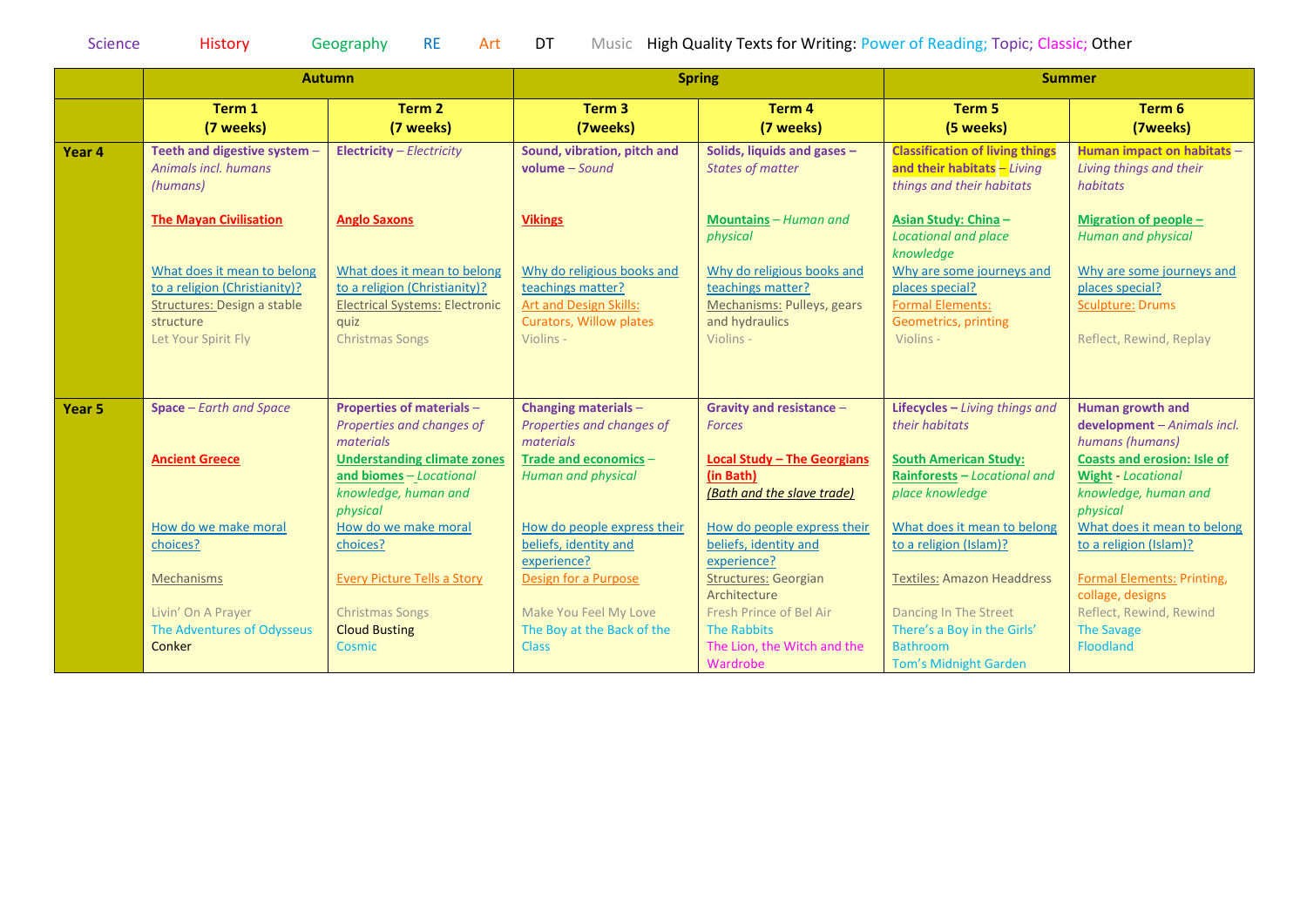Science History Geography RE Art DT Music High Quality Texts for Writing: Power of Reading; Topic; Classic; Other

| <b>Autumn</b>                                                    |                                                                                       | <b>Spring</b>                                                                  |                                                                                                             | <b>Summer</b>                                                                                              |                                                                                                                                                        |
|------------------------------------------------------------------|---------------------------------------------------------------------------------------|--------------------------------------------------------------------------------|-------------------------------------------------------------------------------------------------------------|------------------------------------------------------------------------------------------------------------|--------------------------------------------------------------------------------------------------------------------------------------------------------|
| Term 1<br>(7 weeks)                                              | Term 2<br>(7 weeks)                                                                   | Term <sub>3</sub><br>(7weeks)                                                  | Term 4<br>(7 weeks)                                                                                         | Term 5<br>(5 weeks)                                                                                        | Term 6<br>(7weeks)                                                                                                                                     |
| Teeth and digestive system -<br>Animals incl. humans<br>(humans) | Electricity - Electricity                                                             | Sound, vibration, pitch and<br>$volume - Sound$                                | Solids, liquids and gases -<br><b>States of matter</b>                                                      | <b>Classification of living things</b><br>and their habitats $-Living$<br>things and their habitats        | Human impact on habitats -<br>Living things and their<br>habitats                                                                                      |
| <b>The Mayan Civilisation</b>                                    | <b>Anglo Saxons</b>                                                                   | <b>Vikings</b>                                                                 | Mountains - Human and<br>physical                                                                           | Asian Study: China -<br><b>Locational and place</b><br>knowledge                                           | Migration of people -<br><b>Human and physical</b>                                                                                                     |
| What does it mean to belong                                      | What does it mean to belong                                                           | Why do religious books and                                                     | Why do religious books and                                                                                  | Why are some journeys and                                                                                  | Why are some journeys and<br>places special?                                                                                                           |
| <b>Structures: Design a stable</b>                               | <b>Electrical Systems: Electronic</b>                                                 | <b>Art and Design Skills:</b>                                                  | Mechanisms: Pulleys, gears                                                                                  | <b>Formal Elements:</b>                                                                                    | <b>Sculpture: Drums</b>                                                                                                                                |
| Let Your Spirit Fly                                              | <b>Christmas Songs</b>                                                                | Violins -                                                                      | Violins -                                                                                                   | Violins -                                                                                                  | Reflect, Rewind, Replay                                                                                                                                |
|                                                                  |                                                                                       |                                                                                |                                                                                                             |                                                                                                            |                                                                                                                                                        |
| <b>Space</b> - Earth and Space                                   | Properties of materials -<br>Properties and changes of<br>materials                   | Changing materials -<br>Properties and changes of<br>materials                 | Gravity and resistance -<br><b>Forces</b>                                                                   | their habitats                                                                                             | <b>Human growth and</b><br>development - Animals incl.<br>humans (humans)                                                                              |
| <b>Ancient Greece</b>                                            | <b>Understanding climate zones</b><br>and biomes - Locational<br>knowledge, human and | Trade and economics -<br><b>Human and physical</b>                             | Local Study - The Georgians<br>(in Bath)<br>(Bath and the slave trade)                                      | <b>South American Study:</b><br>Rainforests - Locational and<br>place knowledge                            | <b>Coasts and erosion: Isle of</b><br><b>Wight</b> - Locational<br>knowledge, human and<br>physical                                                    |
| How do we make moral                                             | How do we make moral                                                                  | How do people express their                                                    | How do people express their                                                                                 | What does it mean to belong                                                                                | What does it mean to belong                                                                                                                            |
|                                                                  |                                                                                       |                                                                                |                                                                                                             |                                                                                                            | to a religion (Islam)?                                                                                                                                 |
| Mechanisms                                                       | <b>Every Picture Tells a Story</b>                                                    | Design for a Purpose                                                           | <b>Structures: Georgian</b><br>Architecture                                                                 | <b>Textiles: Amazon Headdress</b>                                                                          | <b>Formal Elements: Printing,</b><br>collage, designs                                                                                                  |
| Livin' On A Prayer                                               | <b>Christmas Songs</b>                                                                | Make You Feel My Love                                                          | Fresh Prince of Bel Air                                                                                     | Dancing In The Street                                                                                      | Reflect, Rewind, Rewind                                                                                                                                |
| The Adventures of Odysseus                                       | <b>Cloud Busting</b>                                                                  | The Boy at the Back of the                                                     | <b>The Rabbits</b>                                                                                          | There's a Boy in the Girls'                                                                                | <b>The Savage</b>                                                                                                                                      |
|                                                                  |                                                                                       |                                                                                | Wardrobe                                                                                                    |                                                                                                            | <b>Floodland</b>                                                                                                                                       |
|                                                                  | to a religion (Christianity)?<br>structure<br>choices?<br>Conker                      | to a religion (Christianity)?<br>quiz<br>physical<br>choices?<br><b>Cosmic</b> | teachings matter?<br><b>Curators, Willow plates</b><br>beliefs, identity and<br>experience?<br><b>Class</b> | teachings matter?<br>and hydraulics<br>beliefs, identity and<br>experience?<br>The Lion, the Witch and the | places special?<br>Geometrics, printing<br>Lifecycles - Living things and<br>to a religion (Islam)?<br><b>Bathroom</b><br><b>Tom's Midnight Garden</b> |